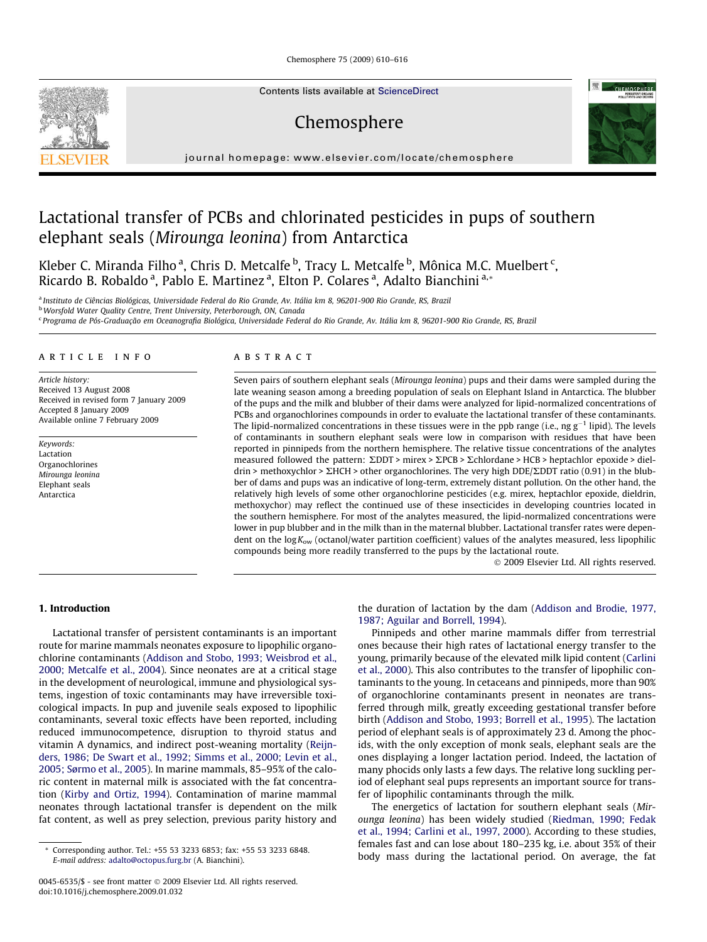Chemosphere 75 (2009) 610–616

Contents lists available at [ScienceDirect](http://www.sciencedirect.com/science/journal/00456535)

# Chemosphere



journal homepage: [www.elsevier.com/locate/chemosphere](http://www.elsevier.com/locate/chemosphere)

# Lactational transfer of PCBs and chlorinated pesticides in pups of southern elephant seals (Mirounga leonina) from Antarctica

Kleber C. Miranda Filho <sup>a</sup>, Chris D. Metcalfe <sup>b</sup>, Tracy L. Metcalfe <sup>b</sup>, Mônica M.C. Muelbert <sup>c</sup>, Ricardo B. Robaldo <sup>a</sup>, Pablo E. Martinez <sup>a</sup>, Elton P. Colares <sup>a</sup>, Adalto Bianchini <sup>a,</sup>\*

<sup>a</sup> Instituto de Ciências Biológicas, Universidade Federal do Rio Grande, Av. Itália km 8, 96201-900 Rio Grande, RS, Brazil

b Worsfold Water Quality Centre, Trent University, Peterborough, ON, Canada

<sup>c</sup> Programa de Pós-Graduação em Oceanografia Biológica, Universidade Federal do Rio Grande, Av. Itália km 8, 96201-900 Rio Grande, RS, Brazil

#### article info

Article history: Received 13 August 2008 Received in revised form 7 January 2009 Accepted 8 January 2009 Available online 7 February 2009

Keywords: Lactation Organochlorines Mirounga leonina Elephant seals Antarctica

# **ABSTRACT**

Seven pairs of southern elephant seals (Mirounga leonina) pups and their dams were sampled during the late weaning season among a breeding population of seals on Elephant Island in Antarctica. The blubber of the pups and the milk and blubber of their dams were analyzed for lipid-normalized concentrations of PCBs and organochlorines compounds in order to evaluate the lactational transfer of these contaminants. The lipid-normalized concentrations in these tissues were in the ppb range (i.e., ng  $g^{-1}$  lipid). The levels of contaminants in southern elephant seals were low in comparison with residues that have been reported in pinnipeds from the northern hemisphere. The relative tissue concentrations of the analytes measured followed the pattern:  $\Sigma$ DDT > mirex >  $\Sigma$ PCB >  $\Sigma$ chlordane > HCB > heptachlor epoxide > diel $dr$  = methoxychlor >  $\Sigma$ HCH > other organochlorines. The very high DDE/ $\Sigma$ DDT ratio (0.91) in the blubber of dams and pups was an indicative of long-term, extremely distant pollution. On the other hand, the relatively high levels of some other organochlorine pesticides (e.g. mirex, heptachlor epoxide, dieldrin, methoxychor) may reflect the continued use of these insecticides in developing countries located in the southern hemisphere. For most of the analytes measured, the lipid-normalized concentrations were lower in pup blubber and in the milk than in the maternal blubber. Lactational transfer rates were dependent on the  $log K_{ow}$  (octanol/water partition coefficient) values of the analytes measured, less lipophilic compounds being more readily transferred to the pups by the lactational route.

- 2009 Elsevier Ltd. All rights reserved.

# 1. Introduction

Lactational transfer of persistent contaminants is an important route for marine mammals neonates exposure to lipophilic organochlorine contaminants ([Addison and Stobo, 1993; Weisbrod et al.,](#page-5-0) [2000; Metcalfe et al., 2004](#page-5-0)). Since neonates are at a critical stage in the development of neurological, immune and physiological systems, ingestion of toxic contaminants may have irreversible toxicological impacts. In pup and juvenile seals exposed to lipophilic contaminants, several toxic effects have been reported, including reduced immunocompetence, disruption to thyroid status and vitamin A dynamics, and indirect post-weaning mortality [\(Reijn](#page-5-0)[ders, 1986; De Swart et al., 1992; Simms et al., 2000; Levin et al.,](#page-5-0) [2005; Sørmo et al., 2005\)](#page-5-0). In marine mammals, 85–95% of the caloric content in maternal milk is associated with the fat concentration ([Kirby and Ortiz, 1994\)](#page-5-0). Contamination of marine mammal neonates through lactational transfer is dependent on the milk fat content, as well as prey selection, previous parity history and the duration of lactation by the dam ([Addison and Brodie, 1977,](#page-5-0) [1987; Aguilar and Borrell, 1994\)](#page-5-0).

Pinnipeds and other marine mammals differ from terrestrial ones because their high rates of lactational energy transfer to the young, primarily because of the elevated milk lipid content ([Carlini](#page-5-0) [et al., 2000](#page-5-0)). This also contributes to the transfer of lipophilic contaminants to the young. In cetaceans and pinnipeds, more than 90% of organochlorine contaminants present in neonates are transferred through milk, greatly exceeding gestational transfer before birth ([Addison and Stobo, 1993; Borrell et al., 1995\)](#page-5-0). The lactation period of elephant seals is of approximately 23 d. Among the phocids, with the only exception of monk seals, elephant seals are the ones displaying a longer lactation period. Indeed, the lactation of many phocids only lasts a few days. The relative long suckling period of elephant seal pups represents an important source for transfer of lipophilic contaminants through the milk.

The energetics of lactation for southern elephant seals (Mirounga leonina) has been widely studied ([Riedman, 1990; Fedak](#page-5-0) [et al., 1994; Carlini et al., 1997, 2000\)](#page-5-0). According to these studies, females fast and can lose about 180–235 kg, i.e. about 35% of their body mass during the lactational period. On average, the fat



<sup>\*</sup> Corresponding author. Tel.: +55 53 3233 6853; fax: +55 53 3233 6848. E-mail address: [adalto@octopus.furg.br](mailto:adalto@octopus.furg.br) (A. Bianchini).

<sup>0045-6535/\$ -</sup> see front matter © 2009 Elsevier Ltd. All rights reserved. doi:10.1016/j.chemosphere.2009.01.032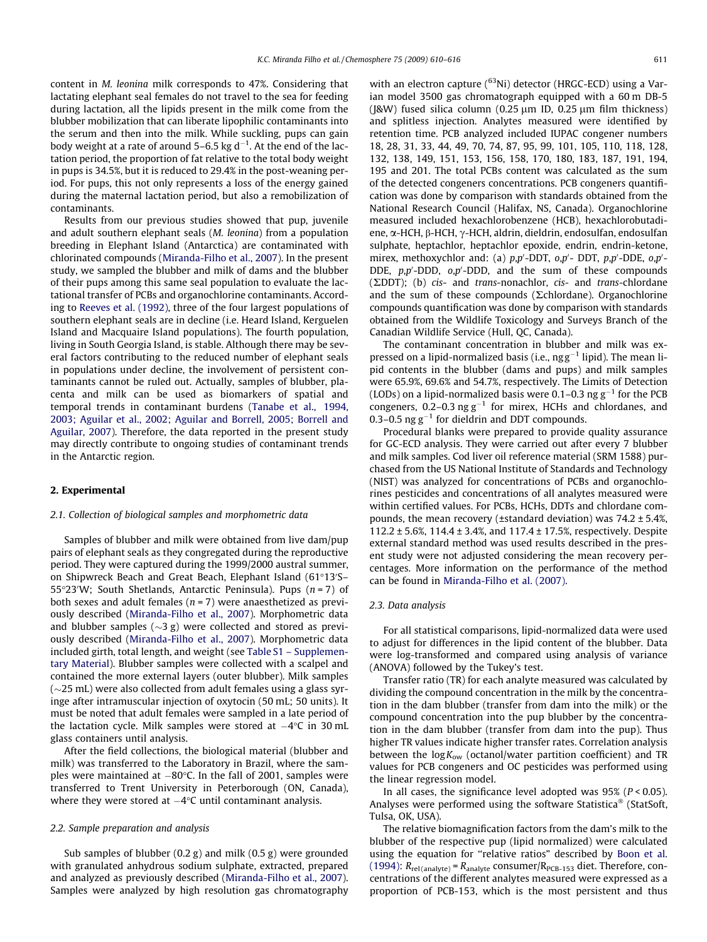content in M. leonina milk corresponds to 47%. Considering that lactating elephant seal females do not travel to the sea for feeding during lactation, all the lipids present in the milk come from the blubber mobilization that can liberate lipophilic contaminants into the serum and then into the milk. While suckling, pups can gain body weight at a rate of around 5–6.5 kg d $^{-1}$ . At the end of the lactation period, the proportion of fat relative to the total body weight in pups is 34.5%, but it is reduced to 29.4% in the post-weaning period. For pups, this not only represents a loss of the energy gained during the maternal lactation period, but also a remobilization of contaminants.

Results from our previous studies showed that pup, juvenile and adult southern elephant seals (M. leonina) from a population breeding in Elephant Island (Antarctica) are contaminated with chlorinated compounds ([Miranda-Filho et al., 2007\)](#page-5-0). In the present study, we sampled the blubber and milk of dams and the blubber of their pups among this same seal population to evaluate the lactational transfer of PCBs and organochlorine contaminants. According to [Reeves et al. \(1992\),](#page-5-0) three of the four largest populations of southern elephant seals are in decline (i.e. Heard Island, Kerguelen Island and Macquaire Island populations). The fourth population, living in South Georgia Island, is stable. Although there may be several factors contributing to the reduced number of elephant seals in populations under decline, the involvement of persistent contaminants cannot be ruled out. Actually, samples of blubber, placenta and milk can be used as biomarkers of spatial and temporal trends in contaminant burdens [\(Tanabe et al., 1994,](#page-5-0) [2003; Aguilar et al., 2002; Aguilar and Borrell, 2005; Borrell and](#page-5-0) [Aguilar, 2007\)](#page-5-0). Therefore, the data reported in the present study may directly contribute to ongoing studies of contaminant trends in the Antarctic region.

### 2. Experimental

### 2.1. Collection of biological samples and morphometric data

Samples of blubber and milk were obtained from live dam/pup pairs of elephant seals as they congregated during the reproductive period. They were captured during the 1999/2000 austral summer, on Shipwreck Beach and Great Beach, Elephant Island (61°13'S-55 $\degree$ 23'W; South Shetlands, Antarctic Peninsula). Pups  $(n=7)$  of both sexes and adult females ( $n = 7$ ) were anaesthetized as previously described [\(Miranda-Filho et al., 2007\)](#page-5-0). Morphometric data and blubber samples ( $\sim$ 3 g) were collected and stored as previously described [\(Miranda-Filho et al., 2007\)](#page-5-0). Morphometric data included girth, total length, and weight (see Table S1 – Supplementary Material). Blubber samples were collected with a scalpel and contained the more external layers (outer blubber). Milk samples  $(\sim$ 25 mL) were also collected from adult females using a glass syringe after intramuscular injection of oxytocin (50 mL; 50 units). It must be noted that adult females were sampled in a late period of the lactation cycle. Milk samples were stored at  $-4^\circ\text{C}$  in 30 mL glass containers until analysis.

After the field collections, the biological material (blubber and milk) was transferred to the Laboratory in Brazil, where the samples were maintained at  $-80^{\circ}$ C. In the fall of 2001, samples were transferred to Trent University in Peterborough (ON, Canada), where they were stored at  $-4^{\circ}\text{C}$  until contaminant analysis.

# 2.2. Sample preparation and analysis

Sub samples of blubber (0.2 g) and milk (0.5 g) were grounded with granulated anhydrous sodium sulphate, extracted, prepared and analyzed as previously described [\(Miranda-Filho et al., 2007\)](#page-5-0). Samples were analyzed by high resolution gas chromatography with an electron capture  $(^{63}$ Ni) detector (HRGC-ECD) using a Varian model 3500 gas chromatograph equipped with a 60 m DB-5  $(I&W)$  fused silica column  $(0.25 \text{ nm} \text{ ID}$ ,  $0.25 \text{ nm} \text{ film}$  thickness) and splitless injection. Analytes measured were identified by retention time. PCB analyzed included IUPAC congener numbers 18, 28, 31, 33, 44, 49, 70, 74, 87, 95, 99, 101, 105, 110, 118, 128, 132, 138, 149, 151, 153, 156, 158, 170, 180, 183, 187, 191, 194, 195 and 201. The total PCBs content was calculated as the sum of the detected congeners concentrations. PCB congeners quantification was done by comparison with standards obtained from the National Research Council (Halifax, NS, Canada). Organochlorine measured included hexachlorobenzene (HCB), hexachlorobutadiene, α-HCH, β-HCH, γ-HCH, aldrin, dieldrin, endosulfan, endosulfan sulphate, heptachlor, heptachlor epoxide, endrin, endrin-ketone, mirex, methoxychlor and: (a)  $p, p'$ -DDT,  $o, p'$ -DDT,  $p, p'$ -DDE,  $o, p'$ -DDE,  $p, p'$ -DDD,  $o, p'$ -DDD, and the sum of these compounds  $(\Sigma$ DDT); (b) cis- and trans-nonachlor, cis- and trans-chlordane and the sum of these compounds ( $\Sigma$ chlordane). Organochlorine compounds quantification was done by comparison with standards obtained from the Wildlife Toxicology and Surveys Branch of the Canadian Wildlife Service (Hull, QC, Canada).

The contaminant concentration in blubber and milk was expressed on a lipid-normalized basis (i.e.,  $ngg^{-1}$  lipid). The mean lipid contents in the blubber (dams and pups) and milk samples were 65.9%, 69.6% and 54.7%, respectively. The Limits of Detection (LODs) on a lipid-normalized basis were 0.1–0.3 ng  $g^{-1}$  for the PCB congeners, 0.2–0.3 ng  $g^{-1}$  for mirex, HCHs and chlordanes, and 0.3–0.5 ng  $g^{-1}$  for dieldrin and DDT compounds.

Procedural blanks were prepared to provide quality assurance for GC-ECD analysis. They were carried out after every 7 blubber and milk samples. Cod liver oil reference material (SRM 1588) purchased from the US National Institute of Standards and Technology (NIST) was analyzed for concentrations of PCBs and organochlorines pesticides and concentrations of all analytes measured were within certified values. For PCBs, HCHs, DDTs and chlordane compounds, the mean recovery ( $\pm$ standard deviation) was 74.2  $\pm$  5.4%, 112.2 ± 5.6%, 114.4 ± 3.4%, and 117.4 ± 17.5%, respectively. Despite external standard method was used results described in the present study were not adjusted considering the mean recovery percentages. More information on the performance of the method can be found in [Miranda-Filho et al. \(2007\)](#page-5-0).

# 2.3. Data analysis

For all statistical comparisons, lipid-normalized data were used to adjust for differences in the lipid content of the blubber. Data were log-transformed and compared using analysis of variance (ANOVA) followed by the Tukey's test.

Transfer ratio (TR) for each analyte measured was calculated by dividing the compound concentration in the milk by the concentration in the dam blubber (transfer from dam into the milk) or the compound concentration into the pup blubber by the concentration in the dam blubber (transfer from dam into the pup). Thus higher TR values indicate higher transfer rates. Correlation analysis between the  $log K_{ow}$  (octanol/water partition coefficient) and TR values for PCB congeners and OC pesticides was performed using the linear regression model.

In all cases, the significance level adopted was  $95\%$  ( $P < 0.05$ ). Analyses were performed using the software Statistica<sup>®</sup> (StatSoft, Tulsa, OK, USA).

The relative biomagnification factors from the dam's milk to the blubber of the respective pup (lipid normalized) were calculated using the equation for ''relative ratios" described by [Boon et al.](#page-5-0) [\(1994\):](#page-5-0)  $R_{rel(analyte)} = R_{analyte}$  consumer/ $R_{PCB-153}$  diet. Therefore, concentrations of the different analytes measured were expressed as a proportion of PCB-153, which is the most persistent and thus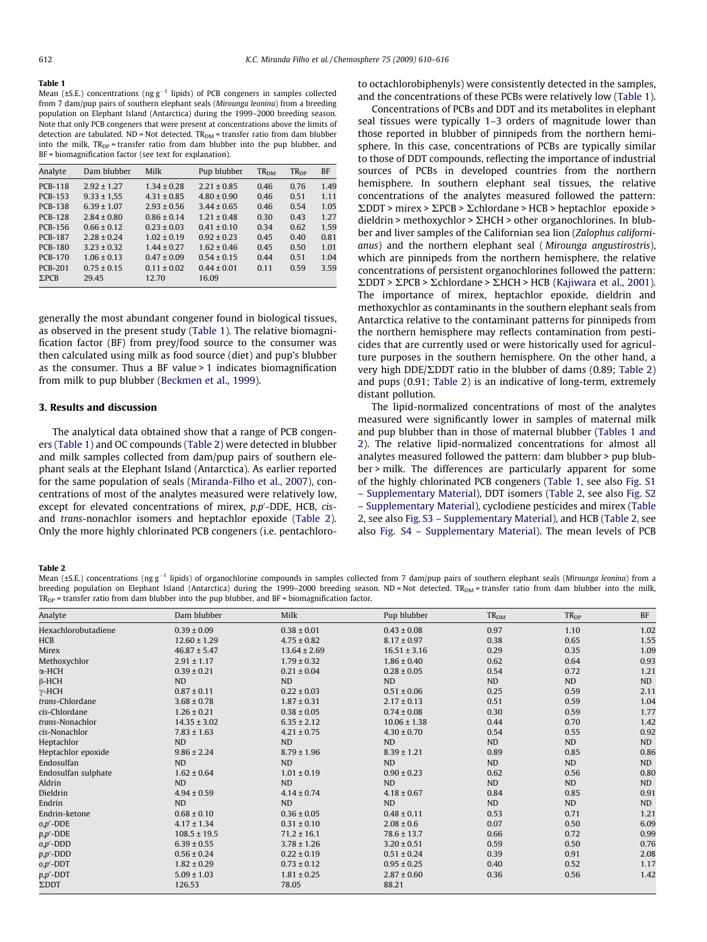#### <span id="page-2-0"></span>Table 1

Mean (±S.E.) concentrations (ng  $g^{-1}$  lipids) of PCB congeners in samples collected from 7 dam/pup pairs of southern elephant seals (Mirounga leonina) from a breeding population on Elephant Island (Antarctica) during the 1999–2000 breeding season. Note that only PCB congeners that were present at concentrations above the limits of detection are tabulated. ND = Not detected.  $TR_{DM}$  = transfer ratio from dam blubber into the milk,  $TR_{DP}$  = transfer ratio from dam blubber into the pup blubber, and BF = biomagnification factor (see text for explanation).

| Analyte        | Dam blubber     | Milk            | Pup blubber     | TR <sub>DM</sub> | $TR_{DP}$ | <b>BF</b> |
|----------------|-----------------|-----------------|-----------------|------------------|-----------|-----------|
| <b>PCB-118</b> | $2.92 \pm 1.27$ | $1.34 \pm 0.28$ | $2.21 \pm 0.85$ | 0.46             | 0.76      | 1.49      |
| <b>PCB-153</b> | $9.33 \pm 1.55$ | $4.31 \pm 0.85$ | $4.80 \pm 0.90$ | 0.46             | 0.51      | 1.11      |
| <b>PCB-138</b> | $6.39 \pm 1.07$ | $2.93 \pm 0.56$ | $3.44 \pm 0.65$ | 0.46             | 0.54      | 1.05      |
| <b>PCB-128</b> | $2.84 \pm 0.80$ | $0.86 \pm 0.14$ | $121 + 048$     | 0.30             | 0.43      | 1.27      |
| PCB-156        | $0.66 \pm 0.12$ | $0.23 \pm 0.03$ | $0.41 \pm 0.10$ | 0.34             | 0.62      | 1.59      |
| <b>PCB-187</b> | $2.28 \pm 0.24$ | $1.02 \pm 0.19$ | $0.92 \pm 0.23$ | 0.45             | 0.40      | 0.81      |
| <b>PCB-180</b> | $3.23 \pm 0.32$ | $1.44 \pm 0.27$ | $1.62 \pm 0.46$ | 0.45             | 0.50      | 1.01      |
| <b>PCB-170</b> | $1.06 \pm 0.13$ | $0.47 \pm 0.09$ | $0.54 \pm 0.15$ | 0.44             | 0.51      | 1.04      |
| <b>PCB-201</b> | $0.75 \pm 0.15$ | $0.11 \pm 0.02$ | $0.44 \pm 0.01$ | 0.11             | 0.59      | 3.59      |
| $\Sigma$ PCB   | 29.45           | 12.70           | 16.09           |                  |           |           |
|                |                 |                 |                 |                  |           |           |

generally the most abundant congener found in biological tissues, as observed in the present study (Table 1). The relative biomagnification factor (BF) from prey/food source to the consumer was then calculated using milk as food source (diet) and pup's blubber as the consumer. Thus a BF value > 1 indicates biomagnification from milk to pup blubber ([Beckmen et al., 1999](#page-5-0)).

#### 3. Results and discussion

The analytical data obtained show that a range of PCB congeners (Table 1) and OC compounds (Table 2) were detected in blubber and milk samples collected from dam/pup pairs of southern elephant seals at the Elephant Island (Antarctica). As earlier reported for the same population of seals [\(Miranda-Filho et al., 2007](#page-5-0)), concentrations of most of the analytes measured were relatively low, except for elevated concentrations of mirex,  $p, p'$ -DDE, HCB,  $cis$ and trans-nonachlor isomers and heptachlor epoxide (Table 2). Only the more highly chlorinated PCB congeners (i.e. pentachloroto octachlorobiphenyls) were consistently detected in the samples, and the concentrations of these PCBs were relatively low (Table 1).

Concentrations of PCBs and DDT and its metabolites in elephant seal tissues were typically 1–3 orders of magnitude lower than those reported in blubber of pinnipeds from the northern hemisphere. In this case, concentrations of PCBs are typically similar to those of DDT compounds, reflecting the importance of industrial sources of PCBs in developed countries from the northern hemisphere. In southern elephant seal tissues, the relative concentrations of the analytes measured followed the pattern:  $\Sigma$ DDT > mirex >  $\Sigma$ PCB >  $\Sigma$ chlordane > HCB > heptachlor epoxide > dieldrin > methoxychlor >  $\Sigma$ HCH > other organochlorines. In blubber and liver samples of the Californian sea lion (Zalophus californianus) and the northern elephant seal ( Mirounga angustirostris), which are pinnipeds from the northern hemisphere, the relative concentrations of persistent organochlorines followed the pattern:  $\Sigma$ DDT >  $\Sigma$ PCB >  $\Sigma$ chlordane >  $\Sigma$ HCH > HCB [\(Kajiwara et al., 2001\)](#page-5-0). The importance of mirex, heptachlor epoxide, dieldrin and methoxychlor as contaminants in the southern elephant seals from Antarctica relative to the contaminant patterns for pinnipeds from the northern hemisphere may reflects contamination from pesticides that are currently used or were historically used for agriculture purposes in the southern hemisphere. On the other hand, a very high DDE/ $\Sigma$ DDT ratio in the blubber of dams (0.89; Table 2) and pups (0.91; Table 2) is an indicative of long-term, extremely distant pollution.

The lipid-normalized concentrations of most of the analytes measured were significantly lower in samples of maternal milk and pup blubber than in those of maternal blubber (Tables 1 and 2). The relative lipid-normalized concentrations for almost all analytes measured followed the pattern: dam blubber > pup blubber > milk. The differences are particularly apparent for some of the highly chlorinated PCB congeners (Table 1, see also Fig. S1 – Supplementary Material), DDT isomers (Table 2, see also Fig. S2 – Supplementary Material), cyclodiene pesticides and mirex (Table 2, see also Fig. S3 – Supplementary Material), and HCB (Table 2, see also Fig. S4 – Supplementary Material). The mean levels of PCB

#### Table 2

Mean (±S.E.) concentrations (ng g<sup>-1</sup> lipids) of organochlorine compounds in samples collected from 7 dam/pup pairs of southern elephant seals (Mirounga leonina) from a breeding population on Elephant Island (Antarctica) during the 1999-2000 breeding season. ND = Not detected. TR<sub>DM</sub> = transfer ratio from dam blubber into the milk,  $TR_{DP}$  = transfer ratio from dam blubber into the pup blubber, and  $BF = bin magnification factor$ .

| Analyte             | Dam blubber      | Milk             | Pup blubber      | TR <sub>DM</sub> | TR <sub>DP</sub> | BF        |
|---------------------|------------------|------------------|------------------|------------------|------------------|-----------|
| Hexachlorobutadiene | $0.39 \pm 0.09$  | $0.38 \pm 0.01$  | $0.43 \pm 0.08$  | 0.97             | 1.10             | 1.02      |
| <b>HCB</b>          | $12.60 \pm 1.29$ | $4.75 \pm 0.82$  | $8.17 \pm 0.97$  | 0.38             | 0.65             | 1.55      |
| Mirex               | $46.87 \pm 5.47$ | $13.64 \pm 2.69$ | $16.51 \pm 3.16$ | 0.29             | 0.35             | 1.09      |
| Methoxychlor        | $2.91 \pm 1.17$  | $1.79 \pm 0.32$  | $1.86 \pm 0.40$  | 0.62             | 0.64             | 0.93      |
| $\alpha$ -HCH       | $0.39 \pm 0.21$  | $0.21 \pm 0.04$  | $0.28 \pm 0.05$  | 0.54             | 0.72             | 1.21      |
| $\beta$ -HCH        | ND               | <b>ND</b>        | ND               | ND               | ND               | ND        |
| $\gamma$ -HCH       | $0.87 \pm 0.11$  | $0.22 \pm 0.03$  | $0.51 \pm 0.06$  | 0.25             | 0.59             | 2.11      |
| trans-Chlordane     | $3.68 \pm 0.78$  | $1.87 \pm 0.31$  | $2.17 \pm 0.13$  | 0.51             | 0.59             | 1.04      |
| cis-Chlordane       | $1.26 \pm 0.21$  | $0.38 \pm 0.05$  | $0.74 \pm 0.08$  | 0.30             | 0.59             | 1.77      |
| trans-Nonachlor     | $14.35 \pm 3.02$ | $6.35 \pm 2.12$  | $10.06 \pm 1.38$ | 0.44             | 0.70             | 1.42      |
| cis-Nonachlor       | $7.83 \pm 1.63$  | $4.21 \pm 0.75$  | $4.30 \pm 0.70$  | 0.54             | 0.55             | 0.92      |
| Heptachlor          | <b>ND</b>        | <b>ND</b>        | <b>ND</b>        | <b>ND</b>        | <b>ND</b>        | <b>ND</b> |
| Heptachlor epoxide  | $9.86 \pm 2.24$  | $8.79 \pm 1.96$  | $8.39 \pm 1.21$  | 0.89             | 0.85             | 0.86      |
| Endosulfan          | <b>ND</b>        | <b>ND</b>        | <b>ND</b>        | ND               | <b>ND</b>        | ND        |
| Endosulfan sulphate | $1.62 \pm 0.64$  | $1.01 \pm 0.19$  | $0.90 \pm 0.23$  | 0.62             | 0.56             | 0.8C      |
| Aldrin              | <b>ND</b>        | <b>ND</b>        | <b>ND</b>        | ND               | <b>ND</b>        | ND        |
| Dieldrin            | $4.94 \pm 0.59$  | $4.14 \pm 0.74$  | $4.18 \pm 0.67$  | 0.84             | 0.85             | 0.91      |
| Endrin              | N <sub>D</sub>   | <b>ND</b>        | <b>ND</b>        | <b>ND</b>        | <b>ND</b>        | ND        |
| Endrin-ketone       | $0.68 \pm 0.10$  | $0.36 \pm 0.05$  | $0.48 \pm 0.11$  | 0.53             | 0.71             | 1.21      |
| $o, p'$ -DDE        | $4.17 \pm 1.34$  | $0.31 \pm 0.10$  | $2.08 \pm 0.6$   | 0.07             | 0.50             | 6.09      |
| $p, p'$ -DDE        | $108.5 \pm 19.5$ | $71.2 \pm 16.1$  | $78.6 \pm 13.7$  | 0.66             | 0.72             | 0.99      |
| $o, p'$ -DDD        | $6.39 \pm 0.55$  | $3.78 \pm 1.26$  | $3.20 \pm 0.51$  | 0.59             | 0.50             | 0.76      |
| $p, p'$ -DDD        | $0.56 \pm 0.24$  | $0.22 \pm 0.19$  | $0.51 \pm 0.24$  | 0.39             | 0.91             | 2.08      |
| $o, p'$ -DDT        | $1.82 \pm 0.29$  | $0.73 \pm 0.12$  | $0.95 \pm 0.25$  | 0.40             | 0.52             | 1.17      |
| $p$ , $p'$ -DDT     | $5.09 \pm 1.03$  | $1.81 \pm 0.25$  | $2.87 \pm 0.60$  | 0.36             | 0.56             | 1.42      |
| $\Sigma$ DDT        | 126.53           | 78.05            | 88.21            |                  |                  |           |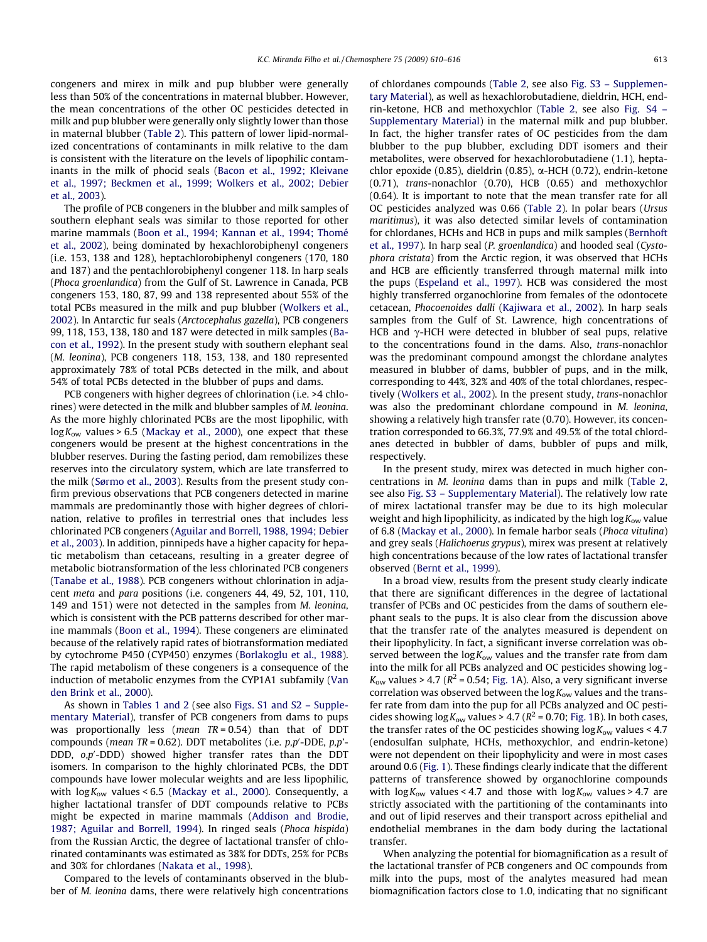congeners and mirex in milk and pup blubber were generally less than 50% of the concentrations in maternal blubber. However, the mean concentrations of the other OC pesticides detected in milk and pup blubber were generally only slightly lower than those in maternal blubber [\(Table 2](#page-2-0)). This pattern of lower lipid-normalized concentrations of contaminants in milk relative to the dam is consistent with the literature on the levels of lipophilic contaminants in the milk of phocid seals ([Bacon et al., 1992; Kleivane](#page-5-0) [et al., 1997; Beckmen et al., 1999; Wolkers et al., 2002; Debier](#page-5-0) [et al., 2003\)](#page-5-0).

The profile of PCB congeners in the blubber and milk samples of southern elephant seals was similar to those reported for other marine mammals ([Boon et al., 1994; Kannan et al., 1994; Thomé](#page-5-0) [et al., 2002\)](#page-5-0), being dominated by hexachlorobiphenyl congeners (i.e. 153, 138 and 128), heptachlorobiphenyl congeners (170, 180 and 187) and the pentachlorobiphenyl congener 118. In harp seals (Phoca groenlandica) from the Gulf of St. Lawrence in Canada, PCB congeners 153, 180, 87, 99 and 138 represented about 55% of the total PCBs measured in the milk and pup blubber ([Wolkers et al.,](#page-6-0) [2002](#page-6-0)). In Antarctic fur seals (Arctocephalus gazella), PCB congeners 99, 118, 153, 138, 180 and 187 were detected in milk samples [\(Ba](#page-5-0)[con et al., 1992\)](#page-5-0). In the present study with southern elephant seal (M. leonina), PCB congeners 118, 153, 138, and 180 represented approximately 78% of total PCBs detected in the milk, and about 54% of total PCBs detected in the blubber of pups and dams.

PCB congeners with higher degrees of chlorination (i.e. >4 chlorines) were detected in the milk and blubber samples of M. leonina. As the more highly chlorinated PCBs are the most lipophilic, with  $log K<sub>ow</sub>$  values > 6.5 ([Mackay et al., 2000\)](#page-5-0), one expect that these congeners would be present at the highest concentrations in the blubber reserves. During the fasting period, dam remobilizes these reserves into the circulatory system, which are late transferred to the milk [\(Sørmo et al., 2003](#page-5-0)). Results from the present study confirm previous observations that PCB congeners detected in marine mammals are predominantly those with higher degrees of chlorination, relative to profiles in terrestrial ones that includes less chlorinated PCB congeners [\(Aguilar and Borrell, 1988, 1994; Debier](#page-5-0) [et al., 2003](#page-5-0)). In addition, pinnipeds have a higher capacity for hepatic metabolism than cetaceans, resulting in a greater degree of metabolic biotransformation of the less chlorinated PCB congeners ([Tanabe et al., 1988\)](#page-5-0). PCB congeners without chlorination in adjacent meta and para positions (i.e. congeners 44, 49, 52, 101, 110, 149 and 151) were not detected in the samples from M. leonina, which is consistent with the PCB patterns described for other marine mammals [\(Boon et al., 1994\)](#page-5-0). These congeners are eliminated because of the relatively rapid rates of biotransformation mediated by cytochrome P450 (CYP450) enzymes ([Borlakoglu et al., 1988\)](#page-5-0). The rapid metabolism of these congeners is a consequence of the induction of metabolic enzymes from the CYP1A1 subfamily ([Van](#page-6-0) [den Brink et al., 2000\)](#page-6-0).

As shown in [Tables 1 and 2](#page-2-0) (see also Figs. S1 and S2 – Supplementary Material), transfer of PCB congeners from dams to pups was proportionally less (mean  $TR = 0.54$ ) than that of DDT compounds (*mean TR* = 0.62). DDT metabolites (i.e.  $p, p'$ -DDE,  $p, p'$ -DDD,  $o, p'$ -DDD) showed higher transfer rates than the DDT isomers. In comparison to the highly chlorinated PCBs, the DDT compounds have lower molecular weights and are less lipophilic, with  $\log K_{\rm ow}$  values < 6.5 [\(Mackay et al., 2000](#page-5-0)). Consequently, a higher lactational transfer of DDT compounds relative to PCBs might be expected in marine mammals ([Addison and Brodie,](#page-5-0) [1987; Aguilar and Borrell, 1994\)](#page-5-0). In ringed seals (Phoca hispida) from the Russian Arctic, the degree of lactational transfer of chlorinated contaminants was estimated as 38% for DDTs, 25% for PCBs and 30% for chlordanes ([Nakata et al., 1998\)](#page-5-0).

Compared to the levels of contaminants observed in the blubber of M. leonina dams, there were relatively high concentrations of chlordanes compounds ([Table 2,](#page-2-0) see also Fig. S3 – Supplementary Material), as well as hexachlorobutadiene, dieldrin, HCH, endrin-ketone, HCB and methoxychlor [\(Table 2,](#page-2-0) see also Fig. S4 – Supplementary Material) in the maternal milk and pup blubber. In fact, the higher transfer rates of OC pesticides from the dam blubber to the pup blubber, excluding DDT isomers and their metabolites, were observed for hexachlorobutadiene (1.1), heptachlor epoxide (0.85), dieldrin (0.85), a-HCH (0.72), endrin-ketone (0.71), trans-nonachlor (0.70), HCB (0.65) and methoxychlor (0.64). It is important to note that the mean transfer rate for all OC pesticides analyzed was 0.66 ([Table 2](#page-2-0)). In polar bears (Ursus maritimus), it was also detected similar levels of contamination for chlordanes, HCHs and HCB in pups and milk samples ([Bernhoft](#page-5-0) [et al., 1997\)](#page-5-0). In harp seal (P. groenlandica) and hooded seal (Cystophora cristata) from the Arctic region, it was observed that HCHs and HCB are efficiently transferred through maternal milk into the pups ([Espeland et al., 1997](#page-5-0)). HCB was considered the most highly transferred organochlorine from females of the odontocete cetacean, Phocoenoides dalli ([Kajiwara et al., 2002](#page-5-0)). In harp seals samples from the Gulf of St. Lawrence, high concentrations of HCB and  $\gamma$ -HCH were detected in blubber of seal pups, relative to the concentrations found in the dams. Also, trans-nonachlor was the predominant compound amongst the chlordane analytes measured in blubber of dams, bubbler of pups, and in the milk, corresponding to 44%, 32% and 40% of the total chlordanes, respectively [\(Wolkers et al., 2002](#page-6-0)). In the present study, trans-nonachlor was also the predominant chlordane compound in M. leonina, showing a relatively high transfer rate (0.70). However, its concentration corresponded to 66.3%, 77.9% and 49.5% of the total chlordanes detected in bubbler of dams, bubbler of pups and milk, respectively.

In the present study, mirex was detected in much higher concentrations in M. leonina dams than in pups and milk ([Table 2,](#page-2-0) see also Fig. S3 – Supplementary Material). The relatively low rate of mirex lactational transfer may be due to its high molecular weight and high lipophilicity, as indicated by the high  $log K<sub>ow</sub>$  value of 6.8 [\(Mackay et al., 2000](#page-5-0)). In female harbor seals (Phoca vitulina) and grey seals (Halichoerus grypus), mirex was present at relatively high concentrations because of the low rates of lactational transfer observed [\(Bernt et al., 1999\)](#page-5-0).

In a broad view, results from the present study clearly indicate that there are significant differences in the degree of lactational transfer of PCBs and OC pesticides from the dams of southern elephant seals to the pups. It is also clear from the discussion above that the transfer rate of the analytes measured is dependent on their lipophylicity. In fact, a significant inverse correlation was observed between the  $log K_{ow}$  values and the transfer rate from dam into the milk for all PCBs analyzed and OC pesticides showing log -  $K_{\text{ow}}$  values > 4.7 ( $R^2$  = 0.54; [Fig. 1](#page-4-0)A). Also, a very significant inverse correlation was observed between the  $\log K_{\rm ow}$  values and the transfer rate from dam into the pup for all PCBs analyzed and OC pesticides showing  $\log K_{\text{ow}}$  values > 4.7 ( $R^2$  = 0.70; [Fig. 1B](#page-4-0)). In both cases, the transfer rates of the OC pesticides showing  $log K_{ow}$  values < 4.7 (endosulfan sulphate, HCHs, methoxychlor, and endrin-ketone) were not dependent on their lipophylicity and were in most cases around 0.6 ([Fig. 1](#page-4-0)). These findings clearly indicate that the different patterns of transference showed by organochlorine compounds with  $\log K_{\text{ow}}$  values < 4.7 and those with  $\log K_{\text{ow}}$  values > 4.7 are strictly associated with the partitioning of the contaminants into and out of lipid reserves and their transport across epithelial and endothelial membranes in the dam body during the lactational transfer.

When analyzing the potential for biomagnification as a result of the lactational transfer of PCB congeners and OC compounds from milk into the pups, most of the analytes measured had mean biomagnification factors close to 1.0, indicating that no significant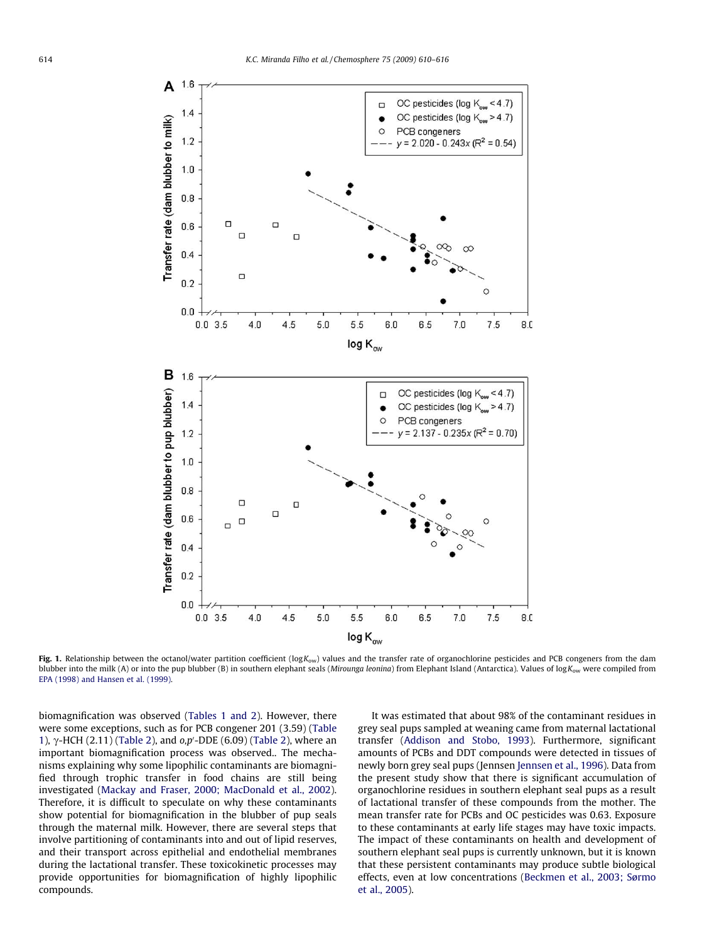<span id="page-4-0"></span>

Fig. 1. Relationship between the octanol/water partition coefficient ( $log K_{ow}$ ) values and the transfer rate of organochlorine pesticides and PCB congeners from the dam blubber into the milk (A) or into the pup blubber (B) in southern elephant seals (Mirounga leonina) from Elephant Island (Antarctica). Values of logK<sub>ow</sub> were compiled from [EPA \(1998\) and Hansen et al. \(1999\).](#page-6-0)

biomagnification was observed ([Tables 1 and 2](#page-2-0)). However, there were some exceptions, such as for PCB congener 201 (3.59) [\(Table](#page-2-0) [1](#page-2-0)),  $\gamma$ -HCH (2.11) [\(Table 2\)](#page-2-0), and  $o, p'$ -DDE (6.09) ([Table 2](#page-2-0)), where an important biomagnification process was observed.. The mechanisms explaining why some lipophilic contaminants are biomagnified through trophic transfer in food chains are still being investigated [\(Mackay and Fraser, 2000; MacDonald et al., 2002\)](#page-5-0). Therefore, it is difficult to speculate on why these contaminants show potential for biomagnification in the blubber of pup seals through the maternal milk. However, there are several steps that involve partitioning of contaminants into and out of lipid reserves, and their transport across epithelial and endothelial membranes during the lactational transfer. These toxicokinetic processes may provide opportunities for biomagnification of highly lipophilic compounds.

It was estimated that about 98% of the contaminant residues in grey seal pups sampled at weaning came from maternal lactational transfer ([Addison and Stobo, 1993](#page-5-0)). Furthermore, significant amounts of PCBs and DDT compounds were detected in tissues of newly born grey seal pups (Jennsen [Jennsen et al., 1996](#page-5-0)). Data from the present study show that there is significant accumulation of organochlorine residues in southern elephant seal pups as a result of lactational transfer of these compounds from the mother. The mean transfer rate for PCBs and OC pesticides was 0.63. Exposure to these contaminants at early life stages may have toxic impacts. The impact of these contaminants on health and development of southern elephant seal pups is currently unknown, but it is known that these persistent contaminants may produce subtle biological effects, even at low concentrations ([Beckmen et al., 2003; Sørmo](#page-5-0) [et al., 2005\)](#page-5-0).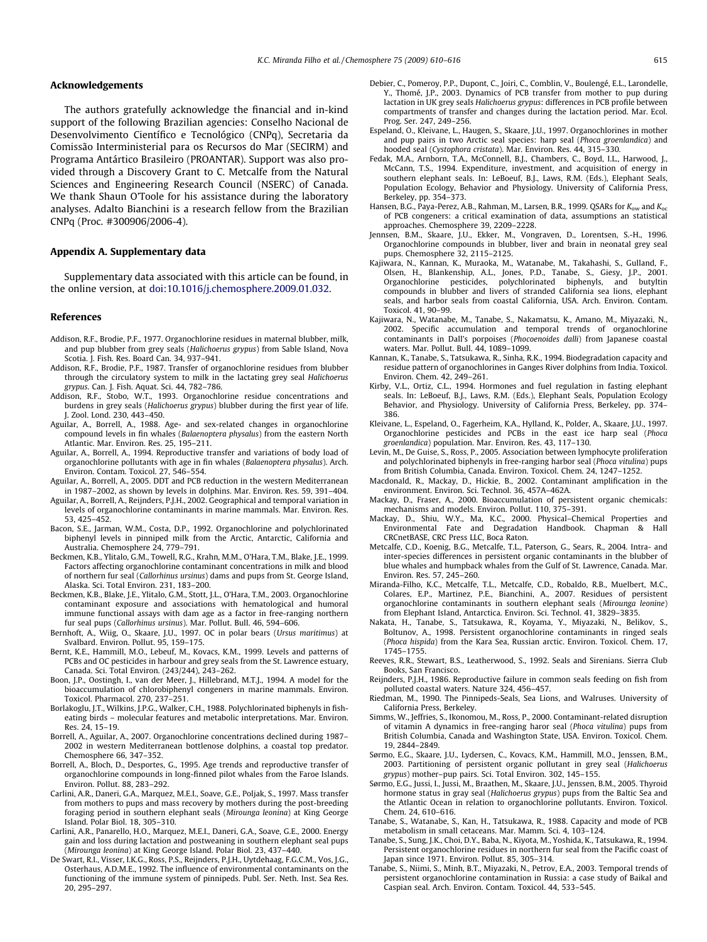#### <span id="page-5-0"></span>Acknowledgements

The authors gratefully acknowledge the financial and in-kind support of the following Brazilian agencies: Conselho Nacional de Desenvolvimento Científico e Tecnológico (CNPq), Secretaria da Comissão Interministerial para os Recursos do Mar (SECIRM) and Programa Antártico Brasileiro (PROANTAR). Support was also provided through a Discovery Grant to C. Metcalfe from the Natural Sciences and Engineering Research Council (NSERC) of Canada. We thank Shaun O'Toole for his assistance during the laboratory analyses. Adalto Bianchini is a research fellow from the Brazilian CNPq (Proc. #300906/2006-4).

### Appendix A. Supplementary data

Supplementary data associated with this article can be found, in the online version, at [doi:10.1016/j.chemosphere.2009.01.032](http://dx.doi.org/10.1016/j.chemosphere.2009.01.032).

#### References

- Addison, R.F., Brodie, P.F., 1977. Organochlorine residues in maternal blubber, milk, and pup blubber from grey seals (Halichoerus grypus) from Sable Island, Nova Scotia. J. Fish. Res. Board Can. 34, 937–941.
- Addison, R.F., Brodie, P.F., 1987. Transfer of organochlorine residues from blubber through the circulatory system to milk in the lactating grey seal Halichoerus grypus. Can. J. Fish. Aquat. Sci. 44, 782–786.
- Addison, R.F., Stobo, W.T., 1993. Organochlorine residue concentrations and burdens in grey seals (Halichoerus grypus) blubber during the first year of life. J. Zool. Lond. 230, 443–450.
- Aguilar, A., Borrell, A., 1988. Age- and sex-related changes in organochlorine compound levels in fin whales (Balaenoptera physalus) from the eastern North Atlantic. Mar. Environ. Res. 25, 195–211.
- Aguilar, A., Borrell, A., 1994. Reproductive transfer and variations of body load of organochlorine pollutants with age in fin whales (Balaenoptera physalus). Arch. Environ. Contam. Toxicol. 27, 546–554.
- Aguilar, A., Borrell, A., 2005. DDT and PCB reduction in the western Mediterranean in 1987–2002, as shown by levels in dolphins. Mar. Environ. Res. 59, 391–404.
- Aguilar, A., Borrell, A., Reijnders, P.J.H., 2002. Geographical and temporal variation in levels of organochlorine contaminants in marine mammals. Mar. Environ. Res. 53, 425–452.
- Bacon, S.E., Jarman, W.M., Costa, D.P., 1992. Organochlorine and polychlorinated biphenyl levels in pinniped milk from the Arctic, Antarctic, California and Australia. Chemosphere 24, 779–791.
- Beckmen, K.B., Ylitalo, G.M., Towell, R.G., Krahn, M.M., O'Hara, T.M., Blake, J.E., 1999. Factors affecting organochlorine contaminant concentrations in milk and blood of northern fur seal (Callorhinus ursinus) dams and pups from St. George Island, Alaska. Sci. Total Environ. 231, 183–200.
- Beckmen, K.B., Blake, J.E., Ylitalo, G.M., Stott, J.L., O'Hara, T.M., 2003. Organochlorine contaminant exposure and associations with hematological and humoral immune functional assays with dam age as a factor in free-ranging northern fur seal pups (Callorhinus ursinus). Mar. Pollut. Bull. 46, 594–606.
- Bernhoft, A., Wiig, O., Skaare, J.U., 1997. OC in polar bears (Ursus maritimus) at Svalbard. Environ. Pollut. 95, 159–175.
- Bernt, K.E., Hammill, M.O., Lebeuf, M., Kovacs, K.M., 1999. Levels and patterns of PCBs and OC pesticides in harbour and grey seals from the St. Lawrence estuary, Canada. Sci. Total Environ. (243/244), 243–262.
- Boon, J.P., Oostingh, I., van der Meer, J., Hillebrand, M.T.J., 1994. A model for the bioaccumulation of chlorobiphenyl congeners in marine mammals. Environ. Toxicol. Pharmacol. 270, 237–251.
- Borlakoglu, J.T., Wilkins, J.P.G., Walker, C.H., 1988. Polychlorinated biphenyls in fisheating birds – molecular features and metabolic interpretations. Mar. Environ. Res. 24, 15–19.
- Borrell, A., Aguilar, A., 2007. Organochlorine concentrations declined during 1987– 2002 in western Mediterranean bottlenose dolphins, a coastal top predator. Chemosphere 66, 347–352.
- Borrell, A., Bloch, D., Desportes, G., 1995. Age trends and reproductive transfer of organochlorine compounds in long-finned pilot whales from the Faroe Islands. Environ. Pollut. 88, 283–292.
- Carlini, A.R., Daneri, G.A., Marquez, M.E.I., Soave, G.E., Poljak, S., 1997. Mass transfer from mothers to pups and mass recovery by mothers during the post-breeding foraging period in southern elephant seals (Mirounga leonina) at King George Island. Polar Biol. 18, 305–310.
- Carlini, A.R., Panarello, H.O., Marquez, M.E.I., Daneri, G.A., Soave, G.E., 2000. Energy gain and loss during lactation and postweaning in southern elephant seal pups (Mirounga leonina) at King George Island. Polar Biol. 23, 437–440.
- De Swart, R.I., Visser, I.K.G., Ross, P.S., Reijnders, P.J.H., Uytdehaag, F.G.C.M., Vos, J.G., Osterhaus, A.D.M.E., 1992. The influence of environmental contaminants on the functioning of the immune system of pinnipeds. Publ. Ser. Neth. Inst. Sea Res. 20, 295–297.
- Debier, C., Pomeroy, P.P., Dupont, C., Joiri, C., Comblin, V., Boulengé, E.L., Larondelle, Y., Thomé, J.P., 2003. Dynamics of PCB transfer from mother to pup during lactation in UK grey seals Halichoerus grypus: differences in PCB profile between compartments of transfer and changes during the lactation period. Mar. Ecol. Prog. Ser. 247, 249–256.
- Espeland, O., Kleivane, L., Haugen, S., Skaare, J.U., 1997. Organochlorines in mother and pup pairs in two Arctic seal species: harp seal (Phoca groenlandica) and hooded seal (Cystophora cristata). Mar. Environ. Res. 44, 315–330.
- Fedak, M.A., Arnborn, T.A., McConnell, B.J., Chambers, C., Boyd, I.L., Harwood, J., McCann, T.S., 1994. Expenditure, investment, and acquisition of energy in southern elephant seals. In: LeBoeuf, B.J., Laws, R.M. (Eds.), Elephant Seals, Population Ecology, Behavior and Physiology. University of California Press, Berkeley, pp. 354–373.
- Hansen, B.G., Paya-Perez, A.B., Rahman, M., Larsen, B.R., 1999. QSARs for  $K_{ow}$  and  $K_{ow}$ of PCB congeners: a critical examination of data, assumptions an statistical approaches. Chemosphere 39, 2209–2228.
- Jennsen, B.M., Skaare, J.U., Ekker, M., Vongraven, D., Lorentsen, S.-H., 1996. Organochlorine compounds in blubber, liver and brain in neonatal grey seal pups. Chemosphere 32, 2115–2125.
- Kajiwara, N., Kannan, K., Muraoka, M., Watanabe, M., Takahashi, S., Gulland, F., Olsen, H., Blankenship, A.L., Jones, P.D., Tanabe, S., Giesy, J.P., 2001. polychlorinated biphenyls, and butyltin compounds in blubber and livers of stranded California sea lions, elephant seals, and harbor seals from coastal California, USA. Arch. Environ. Contam. Toxicol. 41, 90–99.
- Kajiwara, N., Watanabe, M., Tanabe, S., Nakamatsu, K., Amano, M., Miyazaki, N., 2002. Specific accumulation and temporal trends of organochlorine contaminants in Dall's porpoises (Phocoenoides dalli) from Japanese coastal waters. Mar. Pollut. Bull. 44, 1089–1099.
- Kannan, K., Tanabe, S., Tatsukawa, R., Sinha, R.K., 1994. Biodegradation capacity and residue pattern of organochlorines in Ganges River dolphins from India. Toxicol. Environ. Chem. 42, 249–261.
- Kirby, V.L., Ortiz, C.L., 1994. Hormones and fuel regulation in fasting elephant seals. In: LeBoeuf, B.J., Laws, R.M. (Eds.), Elephant Seals, Population Ecology Behavior, and Physiology. University of California Press, Berkeley, pp. 374– 386.
- Kleivane, L., Espeland, O., Fagerheim, K.A., Hylland, K., Polder, A., Skaare, J.U., 1997. Organochlorine pesticides and PCBs in the east ice harp seal (Phoca groenlandica) population. Mar. Environ. Res. 43, 117–130.
- Levin, M., De Guise, S., Ross, P., 2005. Association between lymphocyte proliferation and polychlorinated biphenyls in free-ranging harbor seal (Phoca vitulina) pups from British Columbia, Canada. Environ. Toxicol. Chem. 24, 1247–1252.
- Macdonald, R., Mackay, D., Hickie, B., 2002. Contaminant amplification in the environment. Environ. Sci. Technol. 36, 457A–462A.
- Mackay, D., Fraser, A., 2000. Bioaccumulation of persistent organic chemicals: mechanisms and models. Environ. Pollut. 110, 375–391.
- Mackay, D., Shiu, W.Y., Ma, K.C., 2000. Physical–Chemical Properties and Environmental Fate and Degradation Handbook. Chapman & Hall CRCnetBASE, CRC Press LLC, Boca Raton.
- Metcalfe, C.D., Koenig, B.G., Metcalfe, T.L., Paterson, G., Sears, R., 2004. Intra- and inter-species differences in persistent organic contaminants in the blubber of blue whales and humpback whales from the Gulf of St. Lawrence, Canada. Mar. Environ. Res. 57, 245–260.
- Miranda-Filho, K.C., Metcalfe, T.L., Metcalfe, C.D., Robaldo, R.B., Muelbert, M.C., Colares, E.P., Martinez, P.E., Bianchini, A., 2007. Residues of persistent organochlorine contaminants in southern elephant seals (Mirounga leonine) from Elephant Island, Antarctica. Environ. Sci. Technol. 41, 3829–3835.
- Nakata, H., Tanabe, S., Tatsukawa, R., Koyama, Y., Miyazaki, N., Belikov, S., Boltunov, A., 1998. Persistent organochlorine contaminants in ringed seals (Phoca hispida) from the Kara Sea, Russian arctic. Environ. Toxicol. Chem. 17, 1745–1755.
- Reeves, R.R., Stewart, B.S., Leatherwood, S., 1992. Seals and Sirenians. Sierra Club Books, San Francisco.
- Reijnders, P.J.H., 1986. Reproductive failure in common seals feeding on fish from polluted coastal waters. Nature 324, 456–457.
- Riedman, M., 1990. The Pinnipeds-Seals, Sea Lions, and Walruses. University of California Press, Berkeley.
- Simms, W., Jeffries, S., Ikonomou, M., Ross, P., 2000. Contaminant-related disruption of vitamin A dynamics in free-ranging haror seal (Phoca vitulina) pups from British Columbia, Canada and Washington State, USA. Environ. Toxicol. Chem. 19, 2844–2849.
- Sørmo, E.G., Skaare, J.U., Lydersen, C., Kovacs, K.M., Hammill, M.O., Jenssen, B.M., 2003. Partitioning of persistent organic pollutant in grey seal (Halichoerus grypus) mother–pup pairs. Sci. Total Environ. 302, 145–155.
- Sørmo, E.G., Jussi, I., Jussi, M., Braathen, M., Skaare, J.U., Jenssen, B.M., 2005. Thyroid hormone status in gray seal (Halichoerus grypus) pups from the Baltic Sea and the Atlantic Ocean in relation to organochlorine pollutants. Environ. Toxicol. Chem. 24, 610–616.
- Tanabe, S., Watanabe, S., Kan, H., Tatsukawa, R., 1988. Capacity and mode of PCB metabolism in small cetaceans. Mar. Mamm. Sci. 4, 103–124.
- Tanabe, S., Sung, J.K., Choi, D.Y., Baba, N., Kiyota, M., Yoshida, K., Tatsukawa, R., 1994. Persistent organochlorine residues in northern fur seal from the Pacific coast of Japan since 1971. Environ. Pollut. 85, 305–314.
- Tanabe, S., Niimi, S., Minh, B.T., Miyazaki, N., Petrov, E.A., 2003. Temporal trends of persistent organochlorine contamination in Russia: a case study of Baikal and Caspian seal. Arch. Environ. Contam. Toxicol. 44, 533–545.